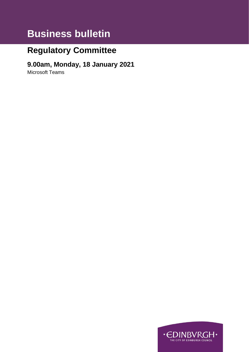# **Business bulletin**

## **Regulatory Committee**

## **9.00am, Monday, 18 January 2021**

Microsoft Teams

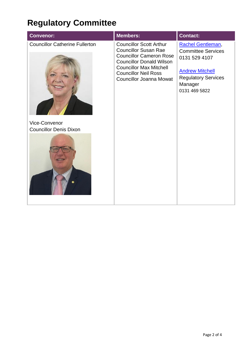# **Regulatory Committee**

| <b>Councillor Catherine Fullerton</b><br><b>Councillor Scott Arthur</b><br>Rachel Gentleman,<br><b>Councillor Susan Rae</b><br><b>Committee Services</b><br><b>Councillor Cameron Rose</b><br>0131 529 4107<br><b>Councillor Donald Wilson</b><br><b>Councillor Max Mitchell</b><br><b>Andrew Mitchell</b><br><b>Councillor Neil Ross</b><br><b>Regulatory Services</b><br><b>Councillor Joanna Mowat</b><br>Manager<br>0131 469 5822<br>Vice-Convenor<br><b>Councillor Denis Dixon</b> |
|-----------------------------------------------------------------------------------------------------------------------------------------------------------------------------------------------------------------------------------------------------------------------------------------------------------------------------------------------------------------------------------------------------------------------------------------------------------------------------------------|
|                                                                                                                                                                                                                                                                                                                                                                                                                                                                                         |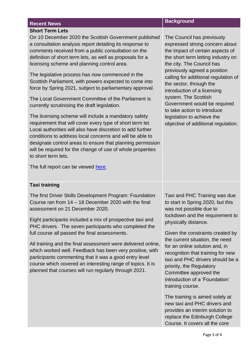### **Short Term Lets**

On 10 December 2020 the Scottish Government published a consultation analysis report detailing its response to comments received from a public consultation on the definition of short term lets, as well as proposals for a licensing scheme and planning control area.

The legislative process has now commenced in the Scottish Parliament, with powers expected to come into force by Spring 2021, subject to parliamentary approval.

The Local Government Committee of the Parliament is currently scrutinising the draft legislation.

The licensing scheme will include a mandatory safety requirement that will cover every type of short term let. Local authorities will also have discretion to add further conditions to address local concerns and will be able to designate control areas to ensure that planning permission will be required for the change of use of whole properties to short term lets.

The full report can be viewed [here.](https://www.gov.scot/publications/short-term-lets-licensing-scheme-planning-control-areas-consultation-analysis/)

## **Recent News Background**

The Council has previously expressed strong concern about the impact of certain aspects of the short term letting industry on the city. The Council has previously agreed a position calling for additional regulation of the sector, through the introduction of a licensing system. The Scottish Government would be required to take action to introduce legislation to achieve the objective of additional regulation.

### **Taxi training**

The first Driver Skills Development Program: Foundation Course ran from 14 – 18 December 2020 with the final assessment on 21 December 2020.

Eight participants included a mix of prospective taxi and PHC drivers. The seven participants who completed the full course all passed the final assessments.

All training and the final assessment were delivered online, which worked well. Feedback has been very positive, with participants commenting that it was a good entry level course which covered an interesting range of topics. It is planned that courses will run regularly through 2021.

Taxi and PHC Training was due to start in Spring 2020, but this was not possible due to lockdown and the requirement to physically distance.

Given the constraints created by the current situation, the need for an online solution and, in recognition that training for new taxi and PHC drivers should be a priority, the Regulatory Committee approved the introduction of a 'Foundation' training course.

The training is aimed solely at new taxi and PHC drivers and provides an interim solution to replace the Edinburgh College Course. It covers all the core